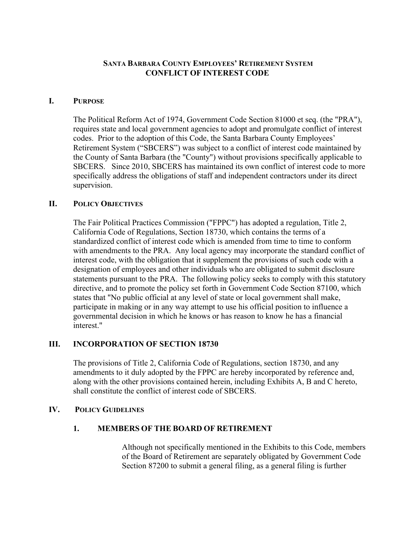### **SANTA BARBARA COUNTY EMPLOYEES' RETIREMENT SYSTEM CONFLICT OF INTEREST CODE**

### **I. PURPOSE**

The Political Reform Act of 1974, Government Code Section 81000 et seq. (the "PRA"), requires state and local government agencies to adopt and promulgate conflict of interest codes. Prior to the adoption of this Code, the Santa Barbara County Employees' Retirement System ("SBCERS") was subject to a conflict of interest code maintained by the County of Santa Barbara (the "County") without provisions specifically applicable to SBCERS. Since 2010, SBCERS has maintained its own conflict of interest code to more specifically address the obligations of staff and independent contractors under its direct supervision.

### **II. POLICY OBJECTIVES**

The Fair Political Practices Commission ("FPPC") has adopted a regulation, Title 2, California Code of Regulations, Section 18730, which contains the terms of a standardized conflict of interest code which is amended from time to time to conform with amendments to the PRA. Any local agency may incorporate the standard conflict of interest code, with the obligation that it supplement the provisions of such code with a designation of employees and other individuals who are obligated to submit disclosure statements pursuant to the PRA. The following policy seeks to comply with this statutory directive, and to promote the policy set forth in Government Code Section 87100, which states that "No public official at any level of state or local government shall make, participate in making or in any way attempt to use his official position to influence a governmental decision in which he knows or has reason to know he has a financial interest."

# **III. INCORPORATION OF SECTION 18730**

The provisions of Title 2, California Code of Regulations, section 18730, and any amendments to it duly adopted by the FPPC are hereby incorporated by reference and, along with the other provisions contained herein, including Exhibits A, B and C hereto, shall constitute the conflict of interest code of SBCERS.

#### **IV. POLICY GUIDELINES**

# **1. MEMBERS OF THE BOARD OF RETIREMENT**

 Although not specifically mentioned in the Exhibits to this Code, members of the Board of Retirement are separately obligated by Government Code Section 87200 to submit a general filing, as a general filing is further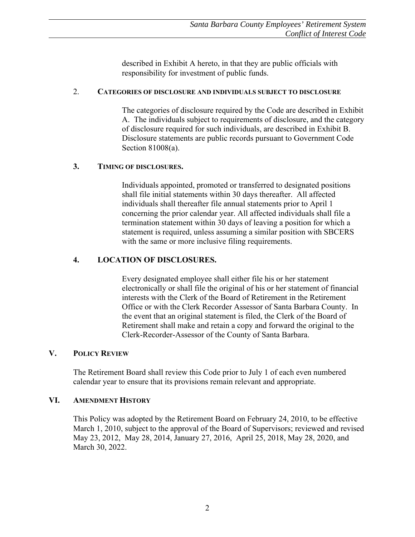described in Exhibit A hereto, in that they are public officials with responsibility for investment of public funds.

### 2. **CATEGORIES OF DISCLOSURE AND INDIVIDUALS SUBJECT TO DISCLOSURE**

The categories of disclosure required by the Code are described in Exhibit A. The individuals subject to requirements of disclosure, and the category of disclosure required for such individuals, are described in Exhibit B. Disclosure statements are public records pursuant to Government Code Section 81008(a).

### **3. TIMING OF DISCLOSURES.**

Individuals appointed, promoted or transferred to designated positions shall file initial statements within 30 days thereafter. All affected individuals shall thereafter file annual statements prior to April 1 concerning the prior calendar year. All affected individuals shall file a termination statement within 30 days of leaving a position for which a statement is required, unless assuming a similar position with SBCERS with the same or more inclusive filing requirements.

# **4. LOCATION OF DISCLOSURES.**

Every designated employee shall either file his or her statement electronically or shall file the original of his or her statement of financial interests with the Clerk of the Board of Retirement in the Retirement Office or with the Clerk Recorder Assessor of Santa Barbara County. In the event that an original statement is filed, the Clerk of the Board of Retirement shall make and retain a copy and forward the original to the Clerk-Recorder-Assessor of the County of Santa Barbara.

# **V. POLICY REVIEW**

 The Retirement Board shall review this Code prior to July 1 of each even numbered calendar year to ensure that its provisions remain relevant and appropriate.

# **VI. AMENDMENT HISTORY**

This Policy was adopted by the Retirement Board on February 24, 2010, to be effective March 1, 2010, subject to the approval of the Board of Supervisors; reviewed and revised May 23, 2012, May 28, 2014, January 27, 2016, April 25, 2018, May 28, 2020, and March 30, 2022.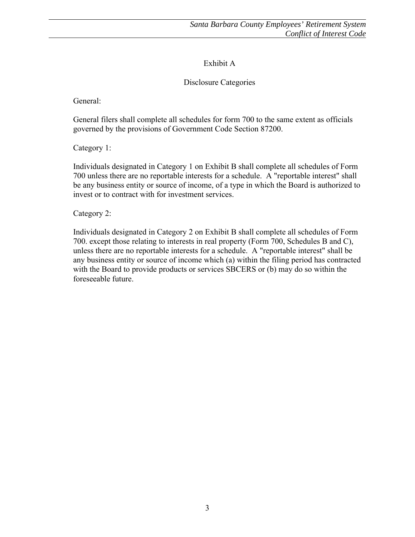# Exhibit A

# Disclosure Categories

General:

General filers shall complete all schedules for form 700 to the same extent as officials governed by the provisions of Government Code Section 87200.

Category 1:

Individuals designated in Category 1 on Exhibit B shall complete all schedules of Form 700 unless there are no reportable interests for a schedule. A "reportable interest" shall be any business entity or source of income, of a type in which the Board is authorized to invest or to contract with for investment services.

Category 2:

Individuals designated in Category 2 on Exhibit B shall complete all schedules of Form 700. except those relating to interests in real property (Form 700, Schedules B and C), unless there are no reportable interests for a schedule. A "reportable interest" shall be any business entity or source of income which (a) within the filing period has contracted with the Board to provide products or services SBCERS or (b) may do so within the foreseeable future.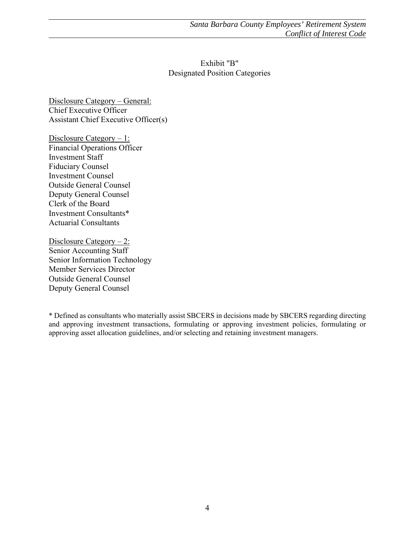# Exhibit "B" Designated Position Categories

Disclosure Category – General: Chief Executive Officer Assistant Chief Executive Officer(s)

Disclosure Category – 1: Financial Operations Officer Investment Staff Fiduciary Counsel Investment Counsel Outside General Counsel Deputy General Counsel Clerk of the Board Investment Consultants\* Actuarial Consultants

Disclosure Category  $-2$ : Senior Accounting Staff Senior Information Technology Member Services Director Outside General Counsel Deputy General Counsel

\* Defined as consultants who materially assist SBCERS in decisions made by SBCERS regarding directing and approving investment transactions, formulating or approving investment policies, formulating or approving asset allocation guidelines, and/or selecting and retaining investment managers.